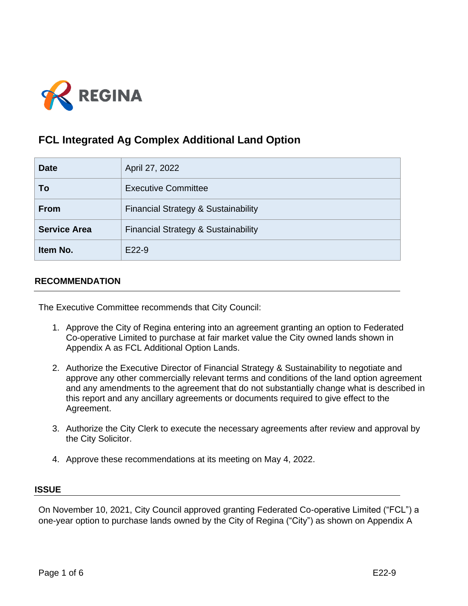

# **FCL Integrated Ag Complex Additional Land Option**

| <b>Date</b>         | April 27, 2022                                 |
|---------------------|------------------------------------------------|
| To                  | <b>Executive Committee</b>                     |
| <b>From</b>         | <b>Financial Strategy &amp; Sustainability</b> |
| <b>Service Area</b> | <b>Financial Strategy &amp; Sustainability</b> |
| Item No.            | E22-9                                          |

# **RECOMMENDATION**

The Executive Committee recommends that City Council:

- 1. Approve the City of Regina entering into an agreement granting an option to Federated Co-operative Limited to purchase at fair market value the City owned lands shown in Appendix A as FCL Additional Option Lands.
- 2. Authorize the Executive Director of Financial Strategy & Sustainability to negotiate and approve any other commercially relevant terms and conditions of the land option agreement and any amendments to the agreement that do not substantially change what is described in this report and any ancillary agreements or documents required to give effect to the Agreement.
- 3. Authorize the City Clerk to execute the necessary agreements after review and approval by the City Solicitor.
- 4. Approve these recommendations at its meeting on May 4, 2022.

## **ISSUE**

On November 10, 2021, City Council approved granting Federated Co-operative Limited ("FCL") a one-year option to purchase lands owned by the City of Regina ("City") as shown on Appendix A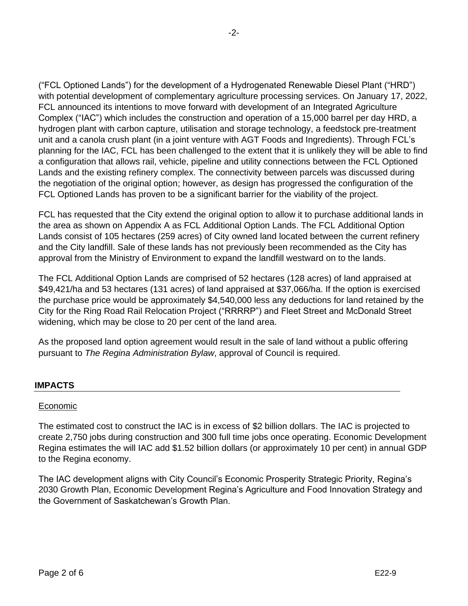("FCL Optioned Lands") for the development of a Hydrogenated Renewable Diesel Plant ("HRD") with potential development of complementary agriculture processing services. On January 17, 2022, FCL announced its intentions to move forward with development of an Integrated Agriculture Complex ("IAC") which includes the construction and operation of a 15,000 barrel per day HRD, a hydrogen plant with carbon capture, utilisation and storage technology, a feedstock pre-treatment unit and a canola crush plant (in a joint venture with AGT Foods and Ingredients). Through FCL's planning for the IAC, FCL has been challenged to the extent that it is unlikely they will be able to find a configuration that allows rail, vehicle, pipeline and utility connections between the FCL Optioned Lands and the existing refinery complex. The connectivity between parcels was discussed during the negotiation of the original option; however, as design has progressed the configuration of the FCL Optioned Lands has proven to be a significant barrier for the viability of the project.

FCL has requested that the City extend the original option to allow it to purchase additional lands in the area as shown on Appendix A as FCL Additional Option Lands. The FCL Additional Option Lands consist of 105 hectares (259 acres) of City owned land located between the current refinery and the City landfill. Sale of these lands has not previously been recommended as the City has approval from the Ministry of Environment to expand the landfill westward on to the lands.

The FCL Additional Option Lands are comprised of 52 hectares (128 acres) of land appraised at \$49,421/ha and 53 hectares (131 acres) of land appraised at \$37,066/ha. If the option is exercised the purchase price would be approximately \$4,540,000 less any deductions for land retained by the City for the Ring Road Rail Relocation Project ("RRRRP") and Fleet Street and McDonald Street widening, which may be close to 20 per cent of the land area.

As the proposed land option agreement would result in the sale of land without a public offering pursuant to *The Regina Administration Bylaw*, approval of Council is required.

# **IMPACTS**

## Economic

The estimated cost to construct the IAC is in excess of \$2 billion dollars. The IAC is projected to create 2,750 jobs during construction and 300 full time jobs once operating. Economic Development Regina estimates the will IAC add \$1.52 billion dollars (or approximately 10 per cent) in annual GDP to the Regina economy.

The IAC development aligns with City Council's Economic Prosperity Strategic Priority, Regina's 2030 Growth Plan, Economic Development Regina's Agriculture and Food Innovation Strategy and the Government of Saskatchewan's Growth Plan.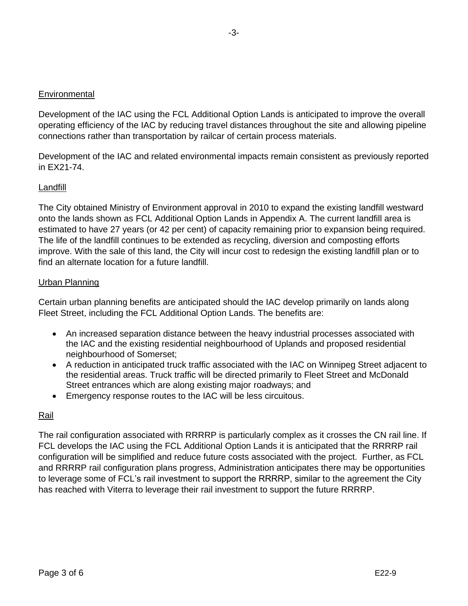## **Environmental**

Development of the IAC using the FCL Additional Option Lands is anticipated to improve the overall operating efficiency of the IAC by reducing travel distances throughout the site and allowing pipeline connections rather than transportation by railcar of certain process materials.

Development of the IAC and related environmental impacts remain consistent as previously reported in EX21-74.

## Landfill

The City obtained Ministry of Environment approval in 2010 to expand the existing landfill westward onto the lands shown as FCL Additional Option Lands in Appendix A. The current landfill area is estimated to have 27 years (or 42 per cent) of capacity remaining prior to expansion being required. The life of the landfill continues to be extended as recycling, diversion and composting efforts improve. With the sale of this land, the City will incur cost to redesign the existing landfill plan or to find an alternate location for a future landfill.

## Urban Planning

Certain urban planning benefits are anticipated should the IAC develop primarily on lands along Fleet Street, including the FCL Additional Option Lands. The benefits are:

- An increased separation distance between the heavy industrial processes associated with the IAC and the existing residential neighbourhood of Uplands and proposed residential neighbourhood of Somerset;
- A reduction in anticipated truck traffic associated with the IAC on Winnipeg Street adjacent to the residential areas. Truck traffic will be directed primarily to Fleet Street and McDonald Street entrances which are along existing major roadways; and
- Emergency response routes to the IAC will be less circuitous.

# Rail

The rail configuration associated with RRRRP is particularly complex as it crosses the CN rail line. If FCL develops the IAC using the FCL Additional Option Lands it is anticipated that the RRRRP rail configuration will be simplified and reduce future costs associated with the project. Further, as FCL and RRRRP rail configuration plans progress, Administration anticipates there may be opportunities to leverage some of FCL's rail investment to support the RRRRP, similar to the agreement the City has reached with Viterra to leverage their rail investment to support the future RRRRP.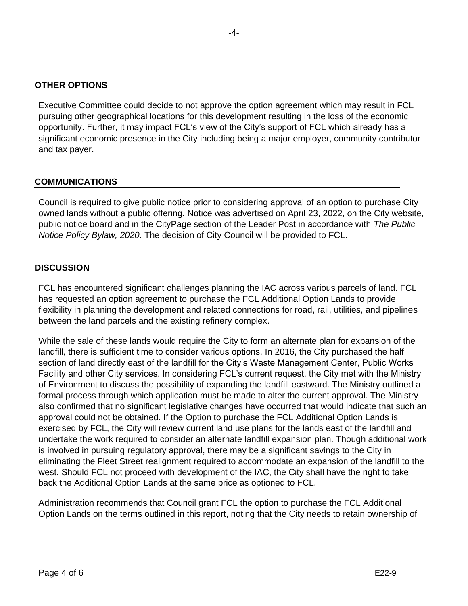#### **OTHER OPTIONS**

Executive Committee could decide to not approve the option agreement which may result in FCL pursuing other geographical locations for this development resulting in the loss of the economic opportunity. Further, it may impact FCL's view of the City's support of FCL which already has a significant economic presence in the City including being a major employer, community contributor and tax payer.

#### **COMMUNICATIONS**

Council is required to give public notice prior to considering approval of an option to purchase City owned lands without a public offering. Notice was advertised on April 23, 2022, on the City website, public notice board and in the CityPage section of the Leader Post in accordance with *The Public Notice Policy Bylaw, 2020*. The decision of City Council will be provided to FCL.

#### **DISCUSSION**

FCL has encountered significant challenges planning the IAC across various parcels of land. FCL has requested an option agreement to purchase the FCL Additional Option Lands to provide flexibility in planning the development and related connections for road, rail, utilities, and pipelines between the land parcels and the existing refinery complex.

While the sale of these lands would require the City to form an alternate plan for expansion of the landfill, there is sufficient time to consider various options. In 2016, the City purchased the half section of land directly east of the landfill for the City's Waste Management Center, Public Works Facility and other City services. In considering FCL's current request, the City met with the Ministry of Environment to discuss the possibility of expanding the landfill eastward. The Ministry outlined a formal process through which application must be made to alter the current approval. The Ministry also confirmed that no significant legislative changes have occurred that would indicate that such an approval could not be obtained. If the Option to purchase the FCL Additional Option Lands is exercised by FCL, the City will review current land use plans for the lands east of the landfill and undertake the work required to consider an alternate landfill expansion plan. Though additional work is involved in pursuing regulatory approval, there may be a significant savings to the City in eliminating the Fleet Street realignment required to accommodate an expansion of the landfill to the west. Should FCL not proceed with development of the IAC, the City shall have the right to take back the Additional Option Lands at the same price as optioned to FCL.

Administration recommends that Council grant FCL the option to purchase the FCL Additional Option Lands on the terms outlined in this report, noting that the City needs to retain ownership of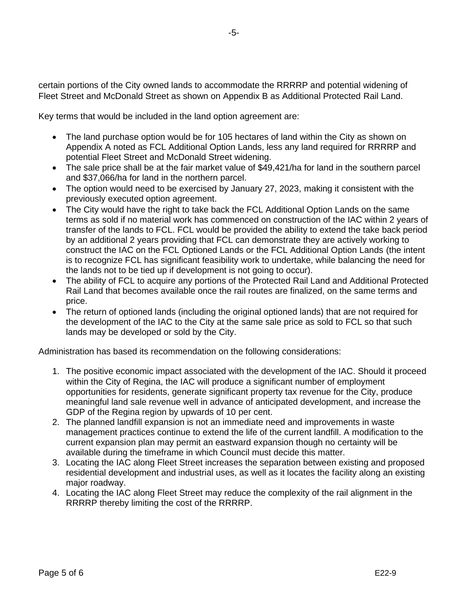certain portions of the City owned lands to accommodate the RRRRP and potential widening of Fleet Street and McDonald Street as shown on Appendix B as Additional Protected Rail Land.

Key terms that would be included in the land option agreement are:

- The land purchase option would be for 105 hectares of land within the City as shown on Appendix A noted as FCL Additional Option Lands, less any land required for RRRRP and potential Fleet Street and McDonald Street widening.
- The sale price shall be at the fair market value of \$49,421/ha for land in the southern parcel and \$37,066/ha for land in the northern parcel.
- The option would need to be exercised by January 27, 2023, making it consistent with the previously executed option agreement.
- The City would have the right to take back the FCL Additional Option Lands on the same terms as sold if no material work has commenced on construction of the IAC within 2 years of transfer of the lands to FCL. FCL would be provided the ability to extend the take back period by an additional 2 years providing that FCL can demonstrate they are actively working to construct the IAC on the FCL Optioned Lands or the FCL Additional Option Lands (the intent is to recognize FCL has significant feasibility work to undertake, while balancing the need for the lands not to be tied up if development is not going to occur).
- The ability of FCL to acquire any portions of the Protected Rail Land and Additional Protected Rail Land that becomes available once the rail routes are finalized, on the same terms and price.
- The return of optioned lands (including the original optioned lands) that are not required for the development of the IAC to the City at the same sale price as sold to FCL so that such lands may be developed or sold by the City.

Administration has based its recommendation on the following considerations:

- 1. The positive economic impact associated with the development of the IAC. Should it proceed within the City of Regina, the IAC will produce a significant number of employment opportunities for residents, generate significant property tax revenue for the City, produce meaningful land sale revenue well in advance of anticipated development, and increase the GDP of the Regina region by upwards of 10 per cent.
- 2. The planned landfill expansion is not an immediate need and improvements in waste management practices continue to extend the life of the current landfill. A modification to the current expansion plan may permit an eastward expansion though no certainty will be available during the timeframe in which Council must decide this matter.
- 3. Locating the IAC along Fleet Street increases the separation between existing and proposed residential development and industrial uses, as well as it locates the facility along an existing major roadway.
- 4. Locating the IAC along Fleet Street may reduce the complexity of the rail alignment in the RRRRP thereby limiting the cost of the RRRRP.